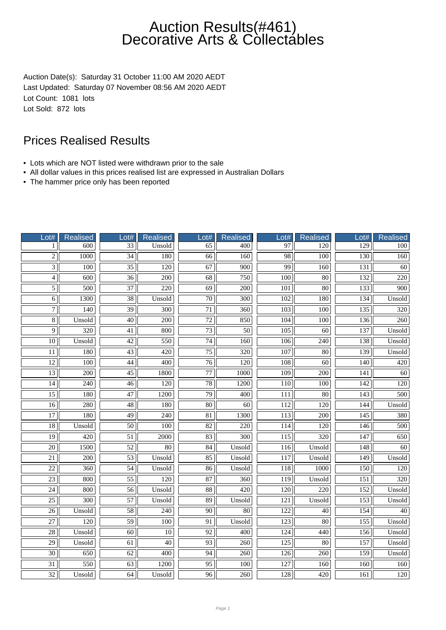Auction Date(s): Saturday 31 October 11:00 AM 2020 AEDT Last Updated: Saturday 07 November 08:56 AM 2020 AEDT Lot Count: 1081 lots Lot Sold: 872 lots

- Lots which are NOT listed were withdrawn prior to the sale
- All dollar values in this prices realised list are expressed in Australian Dollars
- The hammer price only has been reported

| Lot#            | <b>Realised</b>  | Lot#            | <b>Realised</b>   | Lot#                | <b>Realised</b>  | Lot#             | Realised         | Lot#             | <b>Realised</b>  |
|-----------------|------------------|-----------------|-------------------|---------------------|------------------|------------------|------------------|------------------|------------------|
| 1               | $\overline{600}$ | $\overline{33}$ | Unsold            | 65                  | 400              | 97               | 120              | 129              | 100              |
| $\overline{2}$  | 1000             | $\overline{34}$ | 180               | 66                  | 160              | $\overline{98}$  | 100              | 130              | 160              |
| $\overline{3}$  | $\overline{100}$ | $\overline{35}$ | $\overline{120}$  | 67                  | 900              | 99               | 160              | 131              | 60               |
| $\overline{4}$  | 600              | $\overline{36}$ | 200               | $\overline{68}$     | 750              | 100              | 80               | 132              | 220              |
| $\overline{5}$  | 500              | 37              | 220               | 69                  | 200              | 101              | 80               | 133              | 900              |
| $\overline{6}$  | 1300             | $\overline{38}$ | Unsold            | $\overline{70}$     | 300              | 102              | 180              | 134              | Unsold           |
| $\overline{7}$  | $\overline{140}$ | $\overline{39}$ | $\overline{300}$  | $\overline{71}$     | $\overline{360}$ | $\overline{103}$ | $\overline{100}$ | 135              | 320              |
| $\overline{8}$  | Unsold           | $\overline{40}$ | 200               | $\overline{72}$     | 850              | 104              | 100              | 136              | 260              |
| $\overline{9}$  | 320              | 41              | 800               | $\overline{73}$     | $\overline{50}$  | 105              | 60               | 137              | Unsold           |
| 10              | Unsold           | 42              | 550               | 74                  | 160              | 106              | 240              | 138              | Unsold           |
| 11              | 180              | 43              | 420               | $\overline{75}$     | 320              | 107              | 80               | 139              | Unsold           |
| $\overline{12}$ | $\overline{100}$ | $\overline{44}$ | $\overline{400}$  | $\overline{76}$     | $\overline{120}$ | 108              | $\overline{60}$  | $\overline{140}$ | 420              |
| $\overline{13}$ | 200              | $\overline{45}$ | 1800              | $\overline{77}$     | 1000             | $\overline{109}$ | 200              | 141              | 60               |
| $\overline{14}$ | 240              | $\overline{46}$ | 120               | 78                  | 1200             | 110              | 100              | 142              | 120              |
| $\overline{15}$ | 180              | 47              | 1200              | 79                  | 400              | 111              | 80               | 143              | 500              |
| $\overline{16}$ | 280              | $\overline{48}$ | 180               | $\overline{80}$     | $\overline{60}$  | 112              | 120              | 144              | Unsold           |
| 17              | 180              | $\overline{49}$ | 240               | $\overline{81}$     | 1300             | 113              | 200              | 145              | 380              |
| $\overline{18}$ | Unsold           | $\overline{50}$ | 100               | $\overline{82}$     | $\overline{220}$ | 114              | $\overline{120}$ | $\overline{146}$ | 500              |
| $\overline{19}$ | 420              | $\overline{51}$ | $\overline{2000}$ | 83                  | $\overline{300}$ | $\overline{115}$ | 320              | 147              | 650              |
| $\overline{20}$ | 1500             | $\overline{52}$ | 80                | 84                  | Unsold           | 116              | Unsold           | 148              | 60               |
| 21              | 200              | 53              | Unsold            | 85                  | Unsold           | 117              | Unsold           | 149              | Unsold           |
| $\overline{22}$ | 360              | $\overline{54}$ | Unsold            | $\overline{86}$     | Unsold           | $\overline{118}$ | 1000             | $\overline{150}$ | 120              |
| $\overline{23}$ | 800              | $\overline{55}$ | $\overline{120}$  | $\overline{87}$     | 360              | 119              | Unsold           | 151              | $\overline{320}$ |
| $\overline{24}$ | 800              | $\overline{56}$ | Unsold            | $\overline{\bf 88}$ | 420              | $\overline{120}$ | $\overline{220}$ | 152              | Unsold           |
| 25              | 300              | 57              | Unsold            | 89                  | Unsold           | 121              | Unsold           | 153              | Unsold           |
| $\overline{26}$ | Unsold           | $\overline{58}$ | 240               | $\overline{90}$     | 80               | 122              | 40               | 154              | 40               |
| 27              | 120              | 59              | 100               | 91                  | Unsold           | 123              | 80               | 155              | Unsold           |
| $\overline{28}$ | Unsold           | $\overline{60}$ | $\overline{10}$   | $\overline{92}$     | 400              | $\overline{124}$ | 440              | 156              | Unsold           |
| 29              | Unsold           | 61              | 40                | 93                  | 260              | 125              | $\overline{80}$  | 157              | Unsold           |
| $\overline{30}$ | 650              | $\overline{62}$ | 400               | $\overline{94}$     | 260              | 126              | 260              | 159              | Unsold           |
| 31              | 550              | 63              | 1200              | 95                  | 100              | 127              | 160              | 160              | 160              |
| $\overline{32}$ | Unsold           | 64              | Unsold            | 96                  | 260              | 128              | 420              | 161              | 120              |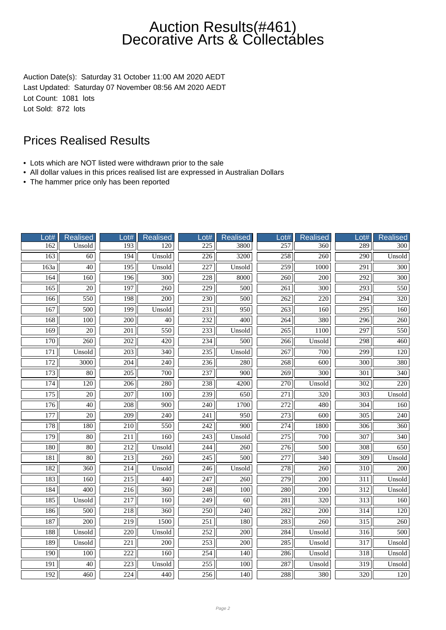Auction Date(s): Saturday 31 October 11:00 AM 2020 AEDT Last Updated: Saturday 07 November 08:56 AM 2020 AEDT Lot Count: 1081 lots Lot Sold: 872 lots

- Lots which are NOT listed were withdrawn prior to the sale
- All dollar values in this prices realised list are expressed in Australian Dollars
- The hammer price only has been reported

| Lot# | Realised         | Lot#             | Realised         | Lot#             | <b>Realised</b>  | $_0$ ot#         | Realised         | Lot#             | <b>Realised</b>  |
|------|------------------|------------------|------------------|------------------|------------------|------------------|------------------|------------------|------------------|
| 162  | Unsold           | 193              | 120              | 225              | 3800             | 257              | 360              | 289              | 300              |
| 163  | $\overline{60}$  | 194              | Unsold           | $\overline{226}$ | 3200             | 258              | $\overline{260}$ | $\overline{290}$ | Unsold           |
| 163a | $\overline{40}$  | $\overline{195}$ | Unsold           | 227              | Unsold           | 259              | 1000             | 291              | $\overline{300}$ |
| 164  | 160              | 196              | 300              | 228              | 8000             | 260              | 200              | $\overline{292}$ | 300              |
| 165  | 20               | 197              | 260              | 229              | 500              | 261              | 300              | 293              | 550              |
| 166  | 550              | 198              | $\overline{200}$ | $\overline{230}$ | 500              | $\overline{262}$ | 220              | $\overline{294}$ | 320              |
| 167  | 500              | 199              | Unsold           | 231              | 950              | 263              | 160              | 295              | 160              |
| 168  | $\overline{100}$ | $\overline{200}$ | 40               | 232              | 400              | $\overline{264}$ | 380              | 296              | 260              |
| 169  | 20               | 201              | 550              | 233              | Unsold           | 265              | 1100             | 297              | 550              |
| 170  | 260              | 202              | 420              | 234              | 500              | 266              | Unsold           | 298              | 460              |
| 171  | Unsold           | 203              | 340              | 235              | Unsold           | 267              | 700              | 299              | 120              |
| 172  | 3000             | 204              | 240              | 236              | 280              | $\frac{268}{ }$  | 600              | $\overline{300}$ | 380              |
| 173  | $\overline{80}$  | $\overline{205}$ | 700              | 237              | 900              | $\overline{269}$ | $\overline{300}$ | $\overline{301}$ | $\overline{340}$ |
| 174  | 120              | $\overline{206}$ | 280              | 238              | 4200             | 270              | Unsold           | $\overline{302}$ | 220              |
| 175  | $\overline{20}$  | $\overline{207}$ | 100              | 239              | 650              | $\overline{271}$ | 320              | $\overline{303}$ | Unsold           |
| 176  | 40               | 208              | 900              | 240              | 1700             | 272              | 480              | 304              | 160              |
| 177  | $\overline{20}$  | $\overline{209}$ | 240              | $\overline{241}$ | 950              | $\overline{273}$ | 600              | $\overline{305}$ | 240              |
| 178  | 180              | 210              | 550              | 242              | 900              | 274              | 1800             | 306              | 360              |
| 179  | $\overline{80}$  | 211              | 160              | $\overline{243}$ | Unsold           | $\overline{275}$ | 700              | $\overline{307}$ | $\overline{340}$ |
| 180  | 80               | 212              | Unsold           | 244              | 260              | 276              | 500              | 308              | 650              |
| 181  | 80               | 213              | 260              | 245              | 500              | 277              | 340              | 309              | Unsold           |
| 182  | 360              | 214              | Unsold           | 246              | Unsold           | $\overline{278}$ | 260              | $\overline{310}$ | 200              |
| 183  | 160              | $\overline{215}$ | 440              | $\overline{247}$ | $\overline{260}$ | $\overline{279}$ | $\overline{200}$ | $\overline{311}$ | Unsold           |
| 184  | $\overline{400}$ | $\overline{216}$ | 360              | 248              | 100              | 280              | $\overline{200}$ | $\overline{312}$ | Unsold           |
| 185  | Unsold           | 217              | 160              | 249              | 60               | 281              | 320              | 313              | 160              |
| 186  | 500              | 218              | 360              | 250              | 240              | 282              | 200              | $\overline{314}$ | 120              |
| 187  | 200              | 219              | 1500             | 251              | 180              | 283              | 260              | 315              | 260              |
| 188  | Unsold           | $\overline{220}$ | Unsold           | 252              | 200              | 284              | Unsold           | $\overline{316}$ | 500              |
| 189  | Unsold           | 221              | $\overline{200}$ | 253              | 200              | 285              | Unsold           | 317              | Unsold           |
| 190  | 100              | 222              | 160              | 254              | 140              | 286              | Unsold           | 318              | Unsold           |
| 191  | 40               | 223              | Unsold           | 255              | 100              | 287              | Unsold           | 319              | Unsold           |
| 192  | 460              | 224              | 440              | 256              | 140              | 288              | 380              | 320              | 120              |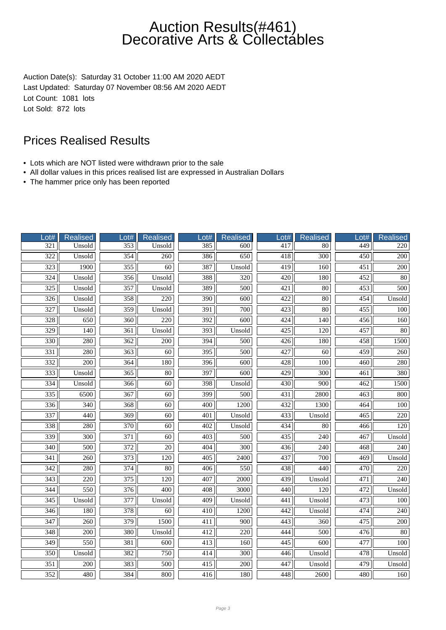Auction Date(s): Saturday 31 October 11:00 AM 2020 AEDT Last Updated: Saturday 07 November 08:56 AM 2020 AEDT Lot Count: 1081 lots Lot Sold: 872 lots

- Lots which are NOT listed were withdrawn prior to the sale
- All dollar values in this prices realised list are expressed in Australian Dollars
- The hammer price only has been reported

| Lot#             | <b>Realised</b>  | Lot#             | <b>Realised</b>  | $_0$ ot#         | <b>Realised</b>  | Lot#             | Realised         | Lot#             | <b>Realised</b>  |
|------------------|------------------|------------------|------------------|------------------|------------------|------------------|------------------|------------------|------------------|
| 321              | Unsold           | 353              | Unsold           | 385              | 600              | 417              | 80               | 449              | 220              |
| $\overline{322}$ | Unsold           | 354              | 260              | 386              | 650              | 418              | $\overline{300}$ | $\overline{450}$ | $\overline{200}$ |
| 323              | 1900             | $\overline{355}$ | $\overline{60}$  | 387              | Unsold           | 419              | 160              | 451              | $\overline{200}$ |
| $\frac{324}{ }$  | Unsold           | 356              | Unsold           | 388              | 320              | 420              | 180              | 452              | 80               |
| 325              | Unsold           | 357              | Unsold           | 389              | 500              | 421              | $80\,$           | 453              | 500              |
| $\overline{326}$ | Unsold           | 358              | 220              | 390              | 600              | $\overline{422}$ | 80               | 454              | Unsold           |
| 327              | Unsold           | 359              | Unsold           | 391              | 700              | 423              | 80               | 455              | 100              |
| 328              | 650              | $\overline{360}$ | 220              | $\overline{392}$ | $\overline{600}$ | 424              | 140              | 456              | 160              |
| 329              | 140              | 361              | Unsold           | $\overline{393}$ | Unsold           | 425              | 120              | 457              | 80               |
| 330              | 280              | 362              | 200              | 394              | 500              | 426              | 180              | 458              | 1500             |
| 331              | 280              | 363              | 60               | 395              | 500              | 427              | 60               | 459              | 260              |
| $\overline{332}$ | $\overline{200}$ | 364              | 180              | $\overline{396}$ | 600              | 428              | $\overline{100}$ | 460              | 280              |
| 333              | Unsold           | $\overline{365}$ | $\overline{80}$  | 397              | 600              | 429              | $\overline{300}$ | 461              | 380              |
| 334              | Unsold           | 366              | $\overline{60}$  | 398              | Unsold           | 430              | $\overline{900}$ | 462              | 1500             |
| 335              | 6500             | $\overline{367}$ | $\overline{60}$  | 399              | 500              | 431              | 2800             | 463              | 800              |
| 336              | 340              | 368              | 60               | 400              | 1200             | 432              | 1300             | 464              | 100              |
| 337              | 440              | 369              | $\overline{60}$  | 401              | Unsold           | $\overline{433}$ | Unsold           | 465              | 220              |
| 338              | 280              | 370              | 60               | 402              | Unsold           | 434              | $80\,$           | 466              | 120              |
| 339              | 300              | 371              | $\overline{60}$  | 403              | 500              | 435              | $\overline{240}$ | 467              | Unsold           |
| 340              | 500              | 372              | 20               | 404              | 300              | 436              | 240              | 468              | 240              |
| 341              | 260              | 373              | 120              | 405              | 2400             | 437              | 700              | 469              | Unsold           |
| 342              | 280              | 374              | $\overline{80}$  | 406              | 550              | 438              | 440              | 470              | 220              |
| $\overline{343}$ | $\overline{220}$ | $\overline{375}$ | $\overline{120}$ | 407              | 2000             | 439              | Unsold           | 471              | $\overline{240}$ |
| 344              | 550              | $\overline{376}$ | 400              | 408              | 3000             | 440              | $\overline{120}$ | 472              | Unsold           |
| 345              | Unsold           | 377              | Unsold           | 409              | Unsold           | 441              | Unsold           | 473              | 100              |
| 346              | 180              | 378              | 60               | 410              | 1200             | 442              | Unsold           | 474              | 240              |
| 347              | 260              | 379              | 1500             | 411              | 900              | 443              | 360              | 475              | 200              |
| $\overline{348}$ | 200              | 380              | Unsold           | 412              | 220              | 444              | 500              | 476              | $\overline{80}$  |
| 349              | 550              | 381              | 600              | 413              | 160              | 445              | 600              | 477              | 100              |
| 350              | Unsold           | 382              | 750              | 414              | 300              | 446              | Unsold           | 478              | Unsold           |
| 351              | 200              | 383              | 500              | 415              | 200              | 447              | Unsold           | 479              | Unsold           |
| 352              | 480              | 384              | 800              | 416              | 180              | 448              | 2600             | 480              | 160              |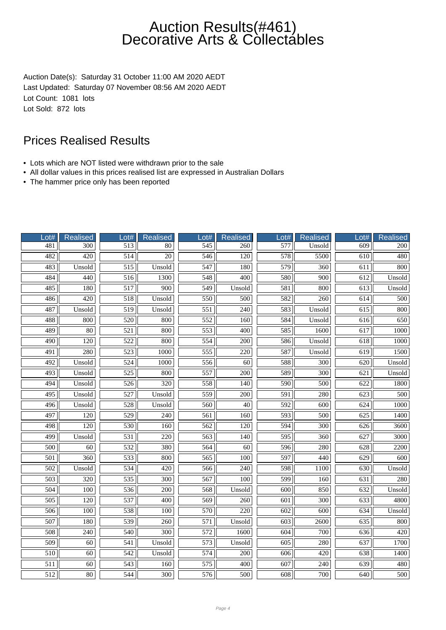Auction Date(s): Saturday 31 October 11:00 AM 2020 AEDT Last Updated: Saturday 07 November 08:56 AM 2020 AEDT Lot Count: 1081 lots Lot Sold: 872 lots

- Lots which are NOT listed were withdrawn prior to the sale
- All dollar values in this prices realised list are expressed in Australian Dollars
- The hammer price only has been reported

| $_0$ t#          | <b>Realised</b>  | Lot#             | <b>Realised</b>  | $_0$ ot#          | <b>Realised</b>  | $_0$ ot#         | Realised         | Lot#             | <b>Realised</b>  |
|------------------|------------------|------------------|------------------|-------------------|------------------|------------------|------------------|------------------|------------------|
| 481              | 300              | $\overline{513}$ | 80               | $\frac{545}{545}$ | 260              | 577              | Unsold           | 609              | 200              |
| 482              | 420              | $\overline{514}$ | $\overline{20}$  | 546               | $\overline{120}$ | $\overline{578}$ | 5500             | $\overline{610}$ | 480              |
| 483              | Unsold           | $\overline{515}$ | Unsold           | 547               | 180              | 579              | 360              | 611              | 800              |
| 484              | 440              | $\overline{516}$ | 1300             | 548               | 400              | 580              | 900              | 612              | Unsold           |
| 485              | 180              | 517              | 900              | 549               | Unsold           | 581              | 800              | 613              | Unsold           |
| 486              | 420              | $\overline{518}$ | Unsold           | 550               | 500              | 582              | 260              | 614              | 500              |
| 487              | Unsold           | 519              | Unsold           | 551               | 240              | 583              | Unsold           | 615              | 800              |
| 488              | 800              | $\overline{520}$ | 800              | 552               | 160              | 584              | Unsold           | $\overline{616}$ | 650              |
| 489              | 80               | 521              | 800              | 553               | 400              | 585              | 1600             | 617              | 1000             |
| 490              | 120              | 522              | 800              | 554               | 200              | 586              | Unsold           | 618              | 1000             |
| 491              | 280              | 523              | 1000             | 555               | 220              | 587              | Unsold           | 619              | 1500             |
| 492              | Unsold           | $\overline{524}$ | 1000             | 556               | $\overline{60}$  | 588              | 300              | 620              | Unsold           |
| 493              | Unsold           | $\overline{525}$ | 800              | 557               | $\overline{200}$ | 589              | $\overline{300}$ | 621              | Unsold           |
| 494              | Unsold           | 526              | 320              | 558               | 140              | 590              | 500              | 622              | 1800             |
| 495              | Unsold           | $\overline{527}$ | Unsold           | 559               | 200              | 591              | 280              | $\overline{623}$ | 500              |
| 496              | Unsold           | 528              | Unsold           | 560               | 40               | 592              | 600              | 624              | 1000             |
| 497              | $\overline{120}$ | $\overline{529}$ | $\overline{240}$ | 561               | 160              | $\overline{593}$ | $\overline{500}$ | $\overline{625}$ | 1400             |
| 498              | 120              | 530              | 160              | 562               | 120              | 594              | 300              | 626              | 3600             |
| 499              | Unsold           | $\overline{531}$ | $\overline{220}$ | $\overline{563}$  | $\overline{140}$ | $\overline{595}$ | 360              | 627              | 3000             |
| 500              | 60               | 532              | 380              | 564               | 60               | 596              | 280              | 628              | 2200             |
| 501              | 360              | 533              | 800              | 565               | 100              | 597              | 440              | 629              | 600              |
| 502              | Unsold           | 534              | $\overline{420}$ | 566               | 240              | 598              | 1100             | 630              | Unsold           |
| $\overline{503}$ | $\overline{320}$ | $\overline{535}$ | $\overline{300}$ | 567               | 100              | 599              | $\overline{160}$ | 631              | 280              |
| 504              | $\overline{100}$ | 536              | $\overline{200}$ | 568               | Unsold           | $\overline{600}$ | 850              | 632              | Unsold           |
| 505              | 120              | 537              | 400              | 569               | 260              | 601              | 300              | 633              | 4800             |
| 506              | 100              | 538              | 100              | 570               | 220              | 602              | 600              | 634              | Unsold           |
| 507              | 180              | 539              | 260              | 571               | Unsold           | 603              | 2600             | 635              | 800              |
| 508              | 240              | $\overline{540}$ | $\overline{300}$ | $\overline{572}$  | 1600             | 604              | 700              | 636              | $\overline{420}$ |
| 509              | 60               | 541              | Unsold           | 573               | Unsold           | 605              | 280              | 637              | 1700             |
| 510              | $\overline{60}$  | 542              | Unsold           | 574               | 200              | 606              | 420              | 638              | 1400             |
| 511              | 60               | 543              | 160              | 575               | 400              | 607              | 240              | 639              | 480              |
| 512              | $80\,$           | 544              | 300              | 576               | 500              | 608              | 700              | 640              | 500              |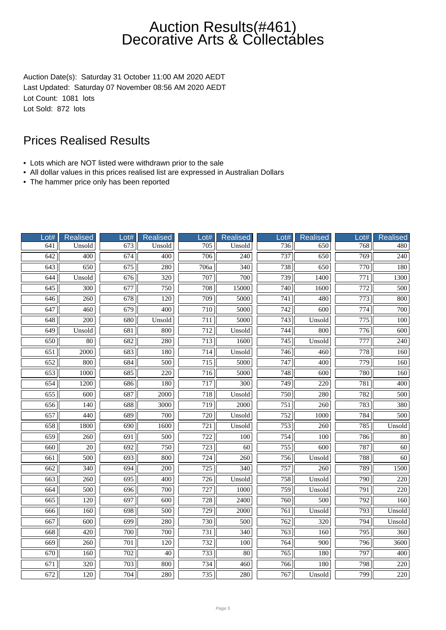Auction Date(s): Saturday 31 October 11:00 AM 2020 AEDT Last Updated: Saturday 07 November 08:56 AM 2020 AEDT Lot Count: 1081 lots Lot Sold: 872 lots

- Lots which are NOT listed were withdrawn prior to the sale
- All dollar values in this prices realised list are expressed in Australian Dollars
- The hammer price only has been reported

| $_0$ t#          | Realised         | Lot#             | <b>Realised</b>  | $_0$ ot#         | <b>Realised</b>  | $_0$ ot#         | Realised         | Lot#             | <b>Realised</b>  |
|------------------|------------------|------------------|------------------|------------------|------------------|------------------|------------------|------------------|------------------|
| 641              | Unsold           | 673              | Unsold           | 705              | Unsold           | 736              | 650              | 768              | 480              |
| $\overline{642}$ | 400              | $\overline{674}$ | $\overline{400}$ | $\overline{706}$ | $\overline{240}$ | 737              | $\overline{650}$ | 769              | $\overline{240}$ |
| 643              | 650              | 675              | 280              | 706a             | $\overline{340}$ | 738              | 650              | 770              | 180              |
| 644              | Unsold           | 676              | 320              | 707              | 700              | 739              | 1400             | $\overline{771}$ | 1300             |
| 645              | 300              | 677              | 750              | 708              | 15000            | 740              | 1600             | 772              | 500              |
| 646              | 260              | 678              | $\overline{120}$ | 709              | 5000             | $\overline{741}$ | 480              | 773              | 800              |
| 647              | 460              | 679              | 400              | 710              | 5000             | 742              | 600              | $\overline{774}$ | 700              |
| 648              | $\overline{200}$ | 680              | Unsold           | 711              | 5000             | $\overline{743}$ | Unsold           | $\overline{775}$ | $\overline{100}$ |
| 649              | Unsold           | 681              | 800              | 712              | Unsold           | 744              | 800              | 776              | 600              |
| 650              | 80               | 682              | 280              | 713              | 1600             | 745              | Unsold           | 777              | 240              |
| 651              | 2000             | 683              | 180              | 714              | Unsold           | 746              | 460              | 778              | 160              |
| $\overline{652}$ | 800              | 684              | $\overline{500}$ | $\overline{715}$ | 5000             | $\overline{747}$ | $\overline{400}$ | $\overline{779}$ | 160              |
| 653              | 1000             | 685              | $\overline{220}$ | 716              | 5000             | 748              | 600              | 780              | 160              |
| 654              | 1200             | 686              | 180              | 717              | $\overline{300}$ | 749              | $\overline{220}$ | 781              | 400              |
| $\overline{655}$ | 600              | 687              | 2000             | 718              | Unsold           | 750              | 280              | 782              | 500              |
| 656              | 140              | 688              | 3000             | 719              | 2000             | 751              | 260              | 783              | 380              |
| $\overline{657}$ | 440              | 689              | 700              | $\overline{720}$ | Unsold           | $\overline{752}$ | 1000             | 784              | $\overline{500}$ |
| 658              | 1800             | 690              | 1600             | 721              | Unsold           | 753              | 260              | 785              | Unsold           |
| 659              | $\overline{260}$ | 691              | 500              | $\overline{722}$ | 100              | 754              | $\overline{100}$ | 786              | $\overline{80}$  |
| 660              | 20               | 692              | 750              | $\overline{723}$ | 60               | 755              | 600              | 787              | 60               |
| 661              | 500              | 693              | 800              | 724              | 260              | 756              | Unsold           | 788              | 60               |
| 662              | 340              | 694              | 200              | 725              | 340              | 757              | 260              | 789              | 1500             |
| $\overline{663}$ | $\overline{260}$ | 695              | $\overline{400}$ | $\overline{726}$ | Unsold           | 758              | Unsold           | 790              | $\overline{220}$ |
| 664              | 500              | 696              | 700              | 727              | 1000             | 759              | Unsold           | 791              | $\overline{220}$ |
| 665              | 120              | 697              | 600              | 728              | 2400             | 760              | 500              | 792              | 160              |
| 666              | 160              | 698              | 500              | 729              | 2000             | 761              | Unsold           | 793              | Unsold           |
| 667              | 600              | 699              | 280              | 730              | 500              | 762              | 320              | 794              | Unsold           |
| 668              | 420              | $\overline{700}$ | $\overline{700}$ | $\overline{731}$ | 340              | $\overline{763}$ | 160              | $\overline{795}$ | $\overline{360}$ |
| 669              | 260              | 701              | 120              | 732              | 100              | 764              | 900              | 796              | 3600             |
| 670              | 160              | 702              | $\overline{40}$  | 733              | 80               | 765              | 180              | 797              | 400              |
| 671              | 320              | 703              | 800              | 734              | 460              | 766              | 180              | 798              | 220              |
| 672              | 120              | 704              | 280              | 735              | 280              | 767              | Unsold           | 799              | 220              |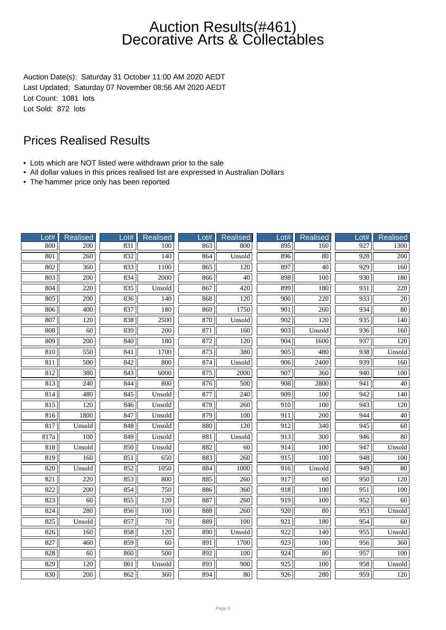Auction Date(s): Saturday 31 October 11:00 AM 2020 AEDT Last Updated: Saturday 07 November 08:56 AM 2020 AEDT Lot Count: 1081 lots Lot Sold: 872 lots

- Lots which are NOT listed were withdrawn prior to the sale
- All dollar values in this prices realised list are expressed in Australian Dollars
- The hammer price only has been reported

| Lot# | Realised          | Lot# | <b>Realised</b>  | $_0$ ot# | <b>Realised</b>   | $_0$ ot#         | Realised         | Lot#             | <b>Realised</b>  |
|------|-------------------|------|------------------|----------|-------------------|------------------|------------------|------------------|------------------|
| 800  | 200               | 831  | 100              | 863      | 800               | 895              | 160              | 927              | 1300             |
| 801  | $\overline{260}$  | 832  | $\overline{140}$ | 864      | Unsold            | 896              | $\overline{80}$  | 928              | $\overline{200}$ |
| 802  | 360               | 833  | 1100             | 865      | $\overline{120}$  | 897              | $\overline{40}$  | 929              | 160              |
| 803  | 200               | 834  | 2000             | 866      | $\overline{40}$   | 898              | 100              | 930              | 180              |
| 804  | 220               | 835  | Unsold           | 867      | 420               | 899              | 180              | 931              | 220              |
| 805  | $\frac{200}{200}$ | 836  | 140              | 868      | 120               | $\overline{900}$ | 220              | 933              | $\overline{20}$  |
| 806  | 400               | 837  | 180              | 869      | 1750              | 901              | 260              | 934              | $\overline{80}$  |
| 807  | $\overline{120}$  | 838  | 2500             | 870      | Unsold            | 902              | $\overline{120}$ | 935              | 140              |
| 808  | 60                | 839  | 200              | 871      | 160               | 903              | Unsold           | 936              | 160              |
| 809  | 200               | 840  | 180              | 872      | 120               | 904              | 1600             | 937              | 120              |
| 810  | 550               | 841  | 1700             | 873      | 380               | 905              | 480              | 938              | Unsold           |
| 811  | 500               | 842  | 800              | 874      | Unsold            | $\overline{906}$ | 2400             | 939              | 160              |
| 812  | 380               | 843  | 6000             | 875      | $\overline{2000}$ | 907              | 360              | 940              | 100              |
| 813  | $\overline{240}$  | 844  | 800              | 876      | 500               | 908              | 2800             | 941              | 40               |
| 814  | 480               | 845  | Unsold           | 877      | 240               | 909              | 100              | 942              | 140              |
| 815  | 120               | 846  | Unsold           | 878      | 260               | 910              | 100              | 943              | 120              |
| 816  | 1800              | 847  | Unsold           | 879      | 100               | $\overline{911}$ | $\overline{200}$ | 944              | $\overline{40}$  |
| 817  | Unsold            | 848  | Unsold           | 880      | 120               | 912              | 340              | 945              | 60               |
| 817a | 100               | 849  | Unsold           | 881      | Unsold            | 913              | $\overline{300}$ | 946              | 80               |
| 818  | Unsold            | 850  | Unsold           | 882      | 60                | 914              | 100              | 947              | Unsold           |
| 819  | 160               | 851  | 650              | 883      | 260               | 915              | 100              | 948              | 100              |
| 820  | Unsold            | 852  | 1050             | 884      | 1000              | 916              | Unsold           | 949              | $\overline{80}$  |
| 821  | $\overline{220}$  | 853  | 800              | 885      | 260               | 917              | 60               | 950              | $\overline{120}$ |
| 822  | 200               | 854  | 750              | 886      | $\overline{360}$  | 918              | 100              | 951              | 100              |
| 823  | 60                | 855  | 120              | 887      | 260               | 919              | 100              | 952              | 60               |
| 824  | 280               | 856  | 100              | 888      | 260               | 920              | 80               | 953              | Unsold           |
| 825  | Unsold            | 857  | $70\,$           | 889      | 100               | 921              | 180              | 954              | 60               |
| 826  | $\overline{160}$  | 858  | $\overline{120}$ | 890      | Unsold            | 922              | $\overline{140}$ | $\overline{955}$ | Unsold           |
| 827  | 460               | 859  | 60               | 891      | 1700              | 923              | 100              | 956              | 360              |
| 828  | 60                | 860  | 500              | 892      | 100               | 924              | 80               | 957              | 100              |
| 829  | 120               | 861  | Unsold           | 893      | 900               | 925              | 100              | 958              | Unsold           |
| 830  | 200               | 862  | 360              | 894      | $\overline{80}$   | 926              | 280              | 959              | 120              |